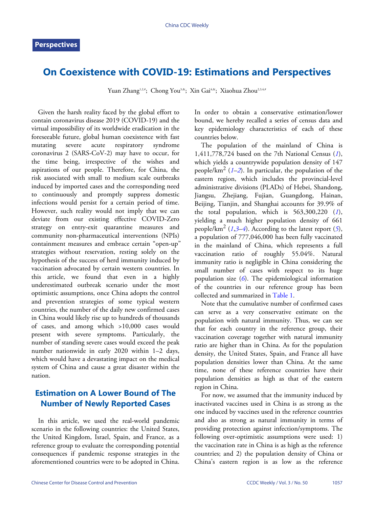## **On Coexistence with COVID-19: Estimations and Perspectives**

Yuan Zhang<sup>1,2,#</sup>; Chong You<sup>3,&</sup>; Xin Gai<sup>4,&</sup>; Xiaohua Zhou<sup>2,3,4,#</sup>

Given the harsh reality faced by the global effort to contain coronavirus disease 2019 (COVID-19) and the virtual impossibility of its worldwide eradication in the foreseeable future, global human coexistence with fast mutating severe acute respiratory syndrome coronavirus 2 (SARS-CoV-2) may have to occur, for the time being, irrespective of the wishes and aspirations of our people. Therefore, for China, the risk associated with small to medium scale outbreaks induced by imported cases and the corresponding need to continuously and promptly suppress domestic infections would persist for a certain period of time. However, such reality would not imply that we can deviate from our existing effective COVID-Zero strategy on entry-exit quarantine measures and community non-pharmaceutical interventions (NPIs) containment measures and embrace certain "open-up" strategies without reservation, resting solely on the hypothesis of the success of herd immunity induced by vaccination advocated by certain western countries. In this article, we found that even in a highly underestimated outbreak scenario under the most optimistic assumptions, once China adopts the control and prevention strategies of some typical western countries, the number of the daily new confirmed cases in China would likely rise up to hundreds of thousands of cases, and among which >10,000 cases would present with severe symptoms. Particularly, the number of standing severe cases would exceed the peak number nationwide in early 2020 within 1–2 days, which would have a devastating impact on the medical system of China and cause a great disaster within the nation.

## **Estimation on A Lower Bound of The Number of Newly Reported Cases**

In this article, we used the real-world pandemic scenario in the following countries: the United States, the United Kingdom, Israel, Spain, and France, as a reference group to evaluate the corresponding potential consequences if pandemic response strategies in the aforementioned countries were to be adopted in China.

In order to obtain a conservative estimation/lower bound, we hereby recalled a series of census data and key epidemiology characteristics of each of these countries below.

The population of the mainland of China is 1,411,778,724 based on the 7th National Census (*[1](#page-3-0)*), which yields a countrywide population density of 147 people/km<sup>2</sup> (*[1](#page-3-0)*–*[2](#page-3-1)*). In particular, the population of the eastern region, which includes the provincial-level administrative divisions (PLADs) of Hebei, Shandong, Jiangsu, Zhejiang, Fujian, Guangdong, Hainan, Beijing, Tianjin, and Shanghai accounts for 39.9% of the total population, which is 563,300,220 (*[1](#page-3-0)*), yielding a much higher population density of 661 people/km<sup>2</sup> (*[1](#page-3-0)*,*[3](#page-3-2)*–*[4](#page-3-3)*). According to the latest report (*[5](#page-3-4)*), a population of 777,046,000 has been fully vaccinated in the mainland of China, which represents a full vaccination ratio of roughly 55.04%. Natural immunity ratio is negligible in China considering the small number of cases with respect to its huge population size (*[6](#page-3-5)*). The epidemiological information of the countries in our r[eference](#page-1-0) group has been collected and summarized in [Table 1](#page-1-0).

Note that the cumulative number of confirmed cases can serve as a very conservative estimate on the population with natural immunity. Thus, we can see that for each country in the reference group, their vaccination coverage together with natural immunity ratio are higher than in China. As for the population density, the United States, Spain, and France all have population densities lower than China. At the same time, none of these reference countries have their population densities as high as that of the eastern region in China.

For now, we assumed that the immunity induced by inactivated vaccines used in China is as strong as the one induced by vaccines used in the reference countries and also as strong as natural immunity in terms of providing protection against infection/symptoms. The following over-optimistic assumptions were used: 1) the vaccination rate in China is as high as the reference countries; and 2) the population density of China or China's eastern region is as low as the reference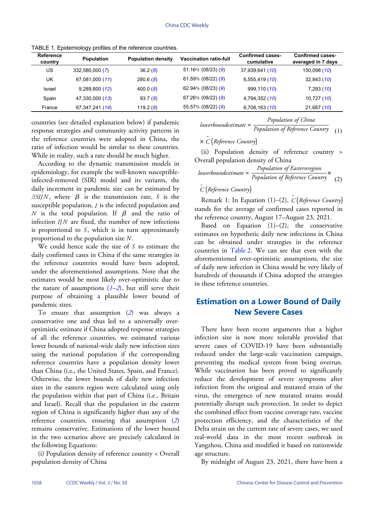| <b>Reference</b><br>country | <b>Population</b> | <b>Population density</b> | <b>Vaccination ratio-full</b> | <b>Confirmed cases-</b><br>cumulative | <b>Confirmed cases-</b><br>averaged in 7 days |
|-----------------------------|-------------------|---------------------------|-------------------------------|---------------------------------------|-----------------------------------------------|
| US                          | 332,580,000 (7)   | 36.2(8)                   | 51.16% (08/23) (9)            | 37,939,641 (10)                       | 150,098 (10)                                  |
| UK                          | 67,081,000 (11)   | 280.6(8)                  | 61.59% (08/22) (9)            | 6,555,419 (10)                        | 32,843 (10)                                   |
| Israel                      | 9,289,800(12)     | 400.0(8)                  | $62.94\%$ (08/23) (9)         | 999,110 (10)                          | 7,293 (10)                                    |
| Spain                       | 47,330,000 (13)   | 93.7(8)                   | 67.26% (08/22) (9)            | 4,794,352 (10)                        | 10,727 (10)                                   |
| France                      | 67, 347, 241 (14) | 119.2 $(8)$               | 55.57% (08/22) (9)            | 6,708,163 (10)                        | 21,667 (10)                                   |

<span id="page-1-0"></span>TABLE 1. Epidemiology profiles of the reference countries.

countries (see detailed explanation below) if pandemic response strategies and community activity patterns in the reference countries were adopted in China, the ratio of infection would be similar to these countries. While in reality, such a rate should be much higher.

 $\beta$ *SI*/*N*, where  $\beta$  is the transmission rate, *S* is the susceptible population,  $I$  is the infected population and  $N$  is the total population. If  $β$  and the ratio of infection  $I/N$  are fixed, the number of new infections is proportional to *S*, which is in turn approximately proportional to the population size  $N$ . According to the dynamic transmission models in epidemiology, for example the well-known susceptibleinfected-removed (SIR) model and its variants, the daily increment in pandemic size can be estimated by

We could hence scale the size of *S* to estimate the daily confirmed cases in China if the same strategies in the reference countries would have been adopted, under the aforementioned assumptions. Note that the estimates would be most likely over-optimistic due to the nature of assumptions  $(1-2)$  $(1-2)$  $(1-2)$  $(1-2)$  $(1-2)$ , but still serve their purpose of obtaining a plausible lower bound of pandemic sizes.

To ensure that assumption (*[2](#page-3-1)*) was always a conservative one and thus led to a universally overoptimistic estimate if China adopted response strategies of all the reference countries, we estimated various lower bounds of national-wide daily new infection sizes using the national population if the corresponding reference countries have a population density lower than China (i.e., the United States, Spain, and France). Otherwise, the lower bounds of daily new infection sizes in the eastern region were calculated using only the population within that part of China (i.e., Britain and Israel). Recall that the population in the eastern region of China is significantly higher than any of the reference countries, ensuring that assumption (*[2](#page-3-1)*) remains conservative. Estimations of the lower bound in the two scenarios above are precisely calculated in the following Equations:

(i) Population density of reference country < Overall population density of China

$$
lowerbound estimate = \frac{1}{Population\ of\ Reference\ Country} \quad (1)
$$

*Population of China*

$$
\times \stackrel{-}{C} \bigl(\textit{Reference Country}\bigr)
$$

(ii) Population density of reference country > Overall population density of China

$$
lower bound estimate = \frac{Population \ of \ Eastern region}{Population \ of \ Reference \ Country} \times (2)
$$

# − *C* (*Reference Country*)

− Remark 1: In Equation (1)–(2), *C* (*Reference Country*) stands for the average of confirmed cases reported in the reference country, August 17–August 23, 2021.

Based on Equation  $(1)$ – $(2)$ , the conservative estimates on hypothetic daily new infections in China can be obtained under strategies in the reference countries in [Table 2](#page-2-0). We can see that even with the aforementioned over-optimistic assumptions, the size of daily new infection in China would be very likely of hundreds of thousands if China adopted the strategies in these reference countries.

## **Estimation on a Lower Bound of Daily New Severe Cases**

There have been recent arguments that a higher infection size is now more tolerable provided that severe cases of COVID-19 have been substantially reduced under the large-scale vaccination campaign, preventing the medical system from being overrun. While vaccination has been proved to significantly reduce the development of severe symptoms after infection from the original and mutated strain of the virus, the emergence of new mutated strains would potentially disrupt such protection. In order to depict the combined effect from vaccine coverage rate, vaccine protection efficiency, and the characteristics of the Delta strain on the current rate of severe cases, we used real-world data in the most recent outbreak in Yangzhou, China and modified it based on nationwide age structure.

By midnight of August 23, 2021, there have been a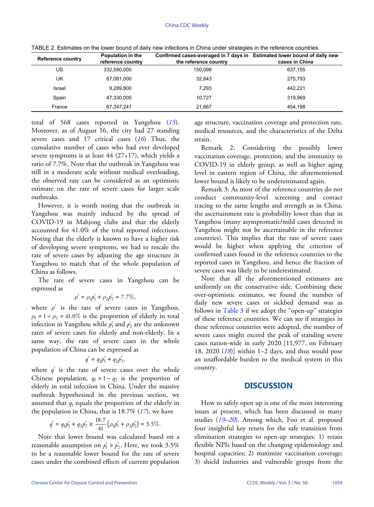| <b>Reference country</b> | Population in the<br>reference country | Confirmed cases-averaged in 7 days in Estimated lower bound of daily new<br>the reference country | cases in China |
|--------------------------|----------------------------------------|---------------------------------------------------------------------------------------------------|----------------|
| US                       | 332,580,000                            | 150.098                                                                                           | 637,155        |
| UK                       | 67,081,000                             | 32.843                                                                                            | 275.793        |
| Israel                   | 9.289.800                              | 7.293                                                                                             | 442.221        |
| Spain                    | 47.330.000                             | 10.727                                                                                            | 319.969        |
| France                   | 67.347.241                             | 21.667                                                                                            | 454.198        |

<span id="page-2-0"></span>TABLE 2. Estimates on the lower bound of daily new infections in China under strategies in the reference countries.

total of 568 cases reported in Yangzhou (*[15](#page-4-6)*). Moreover, as of August 16, the city had 27 standing severe cases and 17 critical cases (*[16](#page-4-7)*) Thus, the cumulative number of cases who had ever developed severe symptoms is at least 44 (27+17), which yields a ratio of 7.7%. Note that the outbreak in Yangzhou was still in a moderate scale without medical overloading, the observed rate can be considered as an optimistic estimate on the rate of severe cases for larger scale outbreaks.

However, it is worth noting that the outbreak in Yangzhou was mainly induced by the spread of COVID-19 in Mahjong clubs and that the elderly accounted for 41.0% of the total reported infections. Noting that the elderly is known to have a higher risk of developing severe symptoms, we had to rescale the rate of severe cases by adjusting the age structure in Yangzhou to match that of the whole population of China as follows.

The rate of severe cases in Yangzhou can be expressed as

$$
\rho^s = \rho_1 p_1^s + \rho_2 p_2^s = 7.7\%,
$$

where  $\rho^s$  is the rate of severe cases in Yangzhou,  $\rho_1 = 1 - \rho_2 = 41.0\%$  is the proportion of elderly in total infection in Yangzhou while  $p_1^s$  and  $p_2^s$  are the unknown rates of severe cases for elderly and non-elderly. In a same way, the rate of severe cases in the whole population of China can be expressed as

$$
q^{s} = q_1 p_1^{s} + q_2 p_2^{s},
$$

where  $q^s$  is the rate of severe cases over the whole Chinese population,  $q_1 = 1 - q_2$  is the proportion of assumed that  $q_1$  equals the proportion o[f th](#page-4-8)e elderly in elderly in total infection in China. Under the massive outbreak hypothesized in the previous section, we the population in China, that is 18.7% (*[17](#page-4-8)*), we have

$$
q^{s} = q_1 p_1^{s} + q_2 p_2^{s} \ge \frac{18.7}{41} \left( \rho_1 p_1^{s} + \rho_2 p_2^{s} \right) = 3.5\%.
$$

reasonable assumption on  $p_1^s > p_2^s$ . Here, we took 3.5% Note that lower bound was calculated based on a to be a reasonable lower bound for the rate of severe cases under the combined effects of current population

age structure, vaccination coverage and protection rate, medical resources, and the characteristics of the Delta strain.

Remark 2: Considering the possibly lower vaccination coverage, protection, and the immunity to COVID-19 in elderly group, as well as higher aging level in eastern region of China, the aforementioned lower bound is likely to be underestimated again.

Remark 3: As most of the reference countries do not conduct community-level screening and contact tracing to the same lengths and strength as in China, the ascertainment rate is probability lower than that in Yangzhou (many asymptomatic/mild cases detected in Yangzhou might not be ascertainable in the reference countries). This implies that the rate of severe cases would be higher when applying the criterion of confirmed cases found in the reference countries to the reported cases in Yangzhou, and hence the fraction of severe cases was likely to be underestimated.

Note that all the aforementioned estimates are uniformly on the conservative side. Combining these over-optimistic estimates, we found the number of daily new [severe](#page-3-8) cases or sickbed demand was as follows in [Table 3](#page-3-8) if we adopt the "open-up" strategies of these reference countries. We can see if strategies in these reference countries were adopted, the number of severe cases might exceed the peak of standing severe cases natio[n-w](#page-4-9)ide in early 2020 [11,977, on February 18, 2020 (*[18](#page-4-9)*)] within 1–2 days, and thus would pose an unaffordable burden to the medical system in this country.

#### **DISCUSSION**

How to safely open up is one of the most interesting issues at [pr](#page-4-10)[esen](#page-4-11)t, which has been discussed in many studies (*[19](#page-4-10)*–*[20](#page-4-11)*). Among which, Foo et al. proposed four insightful key tenets for the safe transition from elimination strategies to open-up strategies: 1) retain flexible NPIs based on the changing epidemiology and hospital capacities; 2) maximize vaccination coverage; 3) shield industries and vulnerable groups from the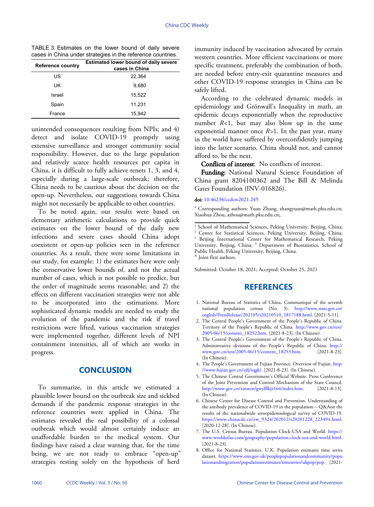<span id="page-3-8"></span>TABLE 3. Estimates on the lower bound of daily severe cases in China under strategies in the reference countries.

| <b>Reference country</b> | <b>Estimated lower bound of daily severe</b><br>cases in China |  |
|--------------------------|----------------------------------------------------------------|--|
| US.                      | 22,364                                                         |  |
| UK                       | 9,680                                                          |  |
| Israel                   | 15,522                                                         |  |
| Spain                    | 11,231                                                         |  |
| France                   | 15,942                                                         |  |

unintended consequences resulting from NPIs; and 4) detect and isolate COVID-19 promptly using extensive surveillance and stronger community social responsibility. However, due to the large population and relatively scarce health resources per capita in China, it is difficult to fully achieve tenets 1, 3, and 4, especially during a large-scale outbreak; therefore, China needs to be cautious about the decision on the open-up. Nevertheless, our suggestions towards China might not necessarily be applicable to other countries.

To be noted again, our results were based on elementary arithmetic calculations to provide quick estimates on the lower bound of the daily new infections and severe cases should China adopt coexistent or open-up policies seen in the reference countries. As a result, there were some limitations in our study, for example: 1) the estimates here were only the conservative lower bounds of, and not the actual number of cases, which is not possible to predict, but the order of magnitude seems reasonable; and 2) the effects on different vaccination strategies were not able to be incorporated into the estimations. More sophisticated dynamic models are needed to study the evolution of the pandemic and the risk if travel restrictions were lifted, various vaccination strategies were implemented together, different levels of NPI containment intensities, all of which are works in progress.

### **CONCLUSION**

To summarize, in this article we estimated a plausible lower bound on the outbreak size and sickbed demands if the pandemic response strategies in the reference countries were applied in China. The estimates revealed the real possibility of a colossal outbreak which would almost certainly induce an unaffordable burden to the medical system. Our findings have raised a clear warning that, for the time being, we are not ready to embrace "open-up" strategies resting solely on the hypothesis of herd

immunity induced by vaccination advocated by certain western countries. More efficient vaccinations or more specific treatment, preferably the combination of both, are needed before entry-exit quarantine measures and other COVID-19 response strategies in China can be safely lifted.

According to the celebrated dynamic models in epidemiology and Grönwall's Inequality in math, an epidemic decays exponentially when the reproductive number *R*<1, but may also blow up in the same exponential manner once *R>*1. In the past year, many in the world have suffered by overconfidently jumping into the latter scenario. China should not, and cannot afford to, be the next.

Conflicts of interest: No conflicts of interest.

Funding: National Natural Science Foundation of China grant 8204100362 and The Bill & Melinda Gates Foundation (INV-016826).

#### doi: [10.46234/ccdcw2021.245](https://doi.org/10.46234/ccdcw2021.245)

# Corresponding authors: Yuan Zhang, zhangyuan@math.pku.edu.cn; Xiaohua Zhou, azhou@math.pku.edu.cn;.

<sup>1</sup> School of Mathematical Sciences, Peking University, Beijing, China; Center for Statistical Sciences, Peking University, Beijing, China; <sup>3</sup> Beijing International Center for Mathematical Research, Peking University, Beijing, China; <sup>4</sup> Department of Biostatistics, School of

Submitted: October 18, 2021; Accepted: October 25, 2021

## **REFERENCES**

- <span id="page-3-0"></span>1. National Bureau of Statistics of China. Communiqué of the seventh national population census (No. 3). [http://www.stats.gov.cn/](http://www.stats.gov.cn/english/PressRelease/202105/t20210510_1817188.html) [english/PressRelease/202105/t20210510\\_1817188.html](http://www.stats.gov.cn/english/PressRelease/202105/t20210510_1817188.html). [2021-5-11].
- <span id="page-3-1"></span>2. The Central People's Government of the People's Republic of China. Territory of the People's Republic of China. [http://www.gov.cn/test/](http://www.gov.cn/test/2005-06/15/content_18252.htm) [2005-06/15/content\\_18252.htm.](http://www.gov.cn/test/2005-06/15/content_18252.htm) [2021-8-23]. (In Chinese).
- <span id="page-3-2"></span>3. The Central People's Government of the People's Republic of China. Administrative divisions of the People's Republic of China. [http://](http://www.gov.cn/test/2005-06/15/content_18253.htm)<br>www.gov.cn/test/2005-06/15/content 18253.htm. [2021-8-23]. [www.gov.cn/test/2005-06/15/content\\_18253.htm.](http://www.gov.cn/test/2005-06/15/content_18253.htm) (In Chinese).
- <span id="page-3-3"></span>4. The People's Government of Fujian Province. Overview of Fujian. [http:](http://www.fujian.gov.cn/zjfj/sqgk/) [//www.fujian.gov.cn/zjfj/sqgk/](http://www.fujian.gov.cn/zjfj/sqgk/). [2021-8-23]. (In Chinese).
- <span id="page-3-4"></span>5. The Chinese Central Government's Official Website. Press Conference of the Joint Prevention and Control Mechanism of the State Council. [http://www.gov.cn/xinwen/gwylflkjz164/index.htm.](http://www.gov.cn/xinwen/gwylflkjz164/index.htm) [2021-8-13]. (In Chinese).
- <span id="page-3-5"></span>6. Chinese Center for Disease Control and Prevention. Understanding of the antibody prevalence of COVID-19 in the population -- Q&Aon the results of the nationalwide seroepidemiological survey of COVID-19. [https://www.chinacdc.cn/yw\\_9324/202012/t20201228\\_223494.html](https://www.chinacdc.cn/yw_9324/202012/t20201228_223494.html). [2020-12-28]. (In Chinese).
- <span id="page-3-6"></span>7. The U.S. Census Bureau. Population Clock-USA and World. [https://](https://www.worldatlas.com/geography/population-clock-usa-and-world.html) [www.worldatlas.com/geography/population-clock-usa-and-world.html](https://www.worldatlas.com/geography/population-clock-usa-and-world.html). [2021-8-23].
- <span id="page-3-7"></span>Office for National Statistics, U.K. Population estimates time series 8. dataset. [https://www.ons.gov.uk/peoplepopulationandcommunity/popu](https://www.ons.gov.uk/peoplepopulationandcommunity/populationandmigration/populationestimates/timeseries/ukpop/pop) [lationandmigration/populationestimates/timeseries/ukpop/pop.](https://www.ons.gov.uk/peoplepopulationandcommunity/populationandmigration/populationestimates/timeseries/ukpop/pop) [2021-

Public Health, Peking University, Beijing, China.

<sup>&</sup>amp; Joint first authors.